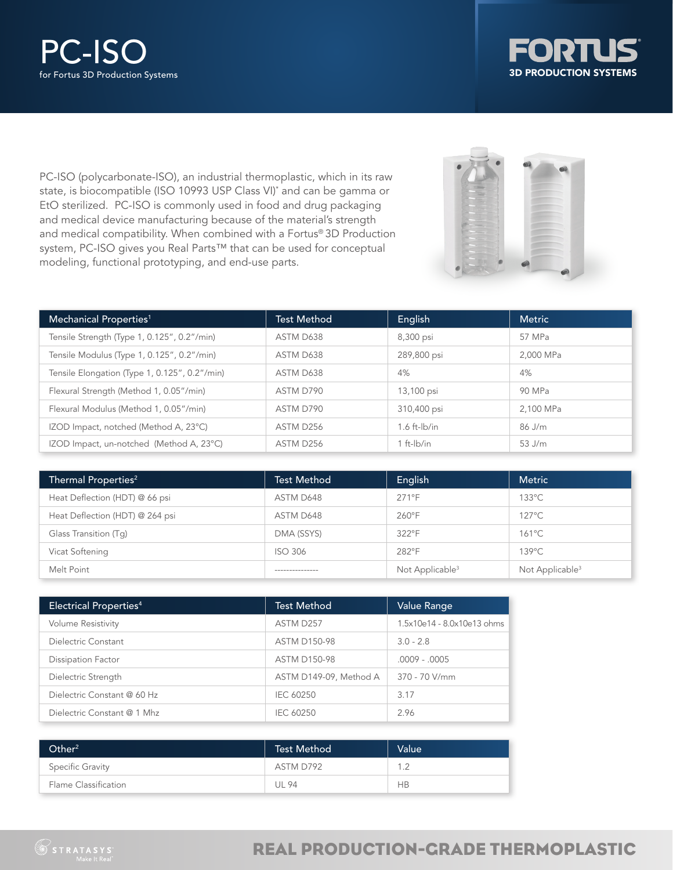



PC-ISO (polycarbonate-ISO), an industrial thermoplastic, which in its raw state, is biocompatible (ISO 10993 USP Class VI)\* and can be gamma or EtO sterilized. PC-ISO is commonly used in food and drug packaging and medical device manufacturing because of the material's strength and medical compatibility. When combined with a Fortus® 3D Production system, PC-ISO gives you Real Parts™ that can be used for conceptual modeling, functional prototyping, and end-use parts.



| Mechanical Properties <sup>1</sup>            | <b>Test Method</b> | English           | <b>Metric</b> |
|-----------------------------------------------|--------------------|-------------------|---------------|
| Tensile Strength (Type 1, 0.125", 0.2"/min)   | ASTM D638          | 8,300 psi         | 57 MPa        |
| Tensile Modulus (Type 1, 0.125", 0.2"/min)    | ASTM D638          | 289,800 psi       | 2,000 MPa     |
| Tensile Elongation (Type 1, 0.125", 0.2"/min) | ASTM D638          | 4%                | 4%            |
| Flexural Strength (Method 1, 0.05"/min)       | ASTM D790          | 13,100 psi        | 90 MPa        |
| Flexural Modulus (Method 1, 0.05"/min)        | ASTM D790          | 310,400 psi       | 2.100 MPa     |
| IZOD Impact, notched (Method A, 23°C)         | ASTM D256          | $1.6$ ft- $lb/in$ | 86 J/m        |
| IZOD Impact, un-notched (Method A, 23°C)      | ASTM D256          | 1 ft- $ b/n $     | 53 J/m        |

| Thermal Properties <sup>2</sup> | <b>Test Method</b> | English                     | <b>Metric</b>               |
|---------------------------------|--------------------|-----------------------------|-----------------------------|
| Heat Deflection (HDT) @ 66 psi  | ASTM D648          | $271^\circ F$               | $133^{\circ}$ C             |
| Heat Deflection (HDT) @ 264 psi | ASTM D648          | $260^\circ F$               | $127^{\circ}$ C             |
| Glass Transition (Tq)           | DMA (SSYS)         | 322°F                       | $161^{\circ}$ C             |
| Vicat Softening                 | <b>ISO 306</b>     | 282°F                       | $139^{\circ}$ C             |
| Melt Point                      |                    | Not Applicable <sup>3</sup> | Not Applicable <sup>3</sup> |

| Electrical Properties <sup>4</sup> | <b>Test Method</b>     | <b>Value Range</b>         |
|------------------------------------|------------------------|----------------------------|
| <b>Volume Resistivity</b>          | ASTM D257              | 1.5x10e14 - 8.0x10e13 ohms |
| Dielectric Constant                | <b>ASTM D150-98</b>    | $3.0 - 2.8$                |
| Dissipation Factor                 | <b>ASTM D150-98</b>    | $.0009 - .0005$            |
| Dielectric Strength                | ASTM D149-09, Method A | $370 - 70$ V/mm            |
| Dielectric Constant @ 60 Hz        | IEC 60250              | 3.17                       |
| Dielectric Constant @ 1 Mhz        | IEC 60250              | 2.96                       |

| Other <sup>2</sup>   | <b>Test Method</b> | <b>Value</b> |
|----------------------|--------------------|--------------|
| Specific Gravity     | ASTM D792          | 1.2          |
| Flame Classification | UL 94              | <b>HB</b>    |

# REAL PRODUCTION-GRADE THERMOPLASTIC